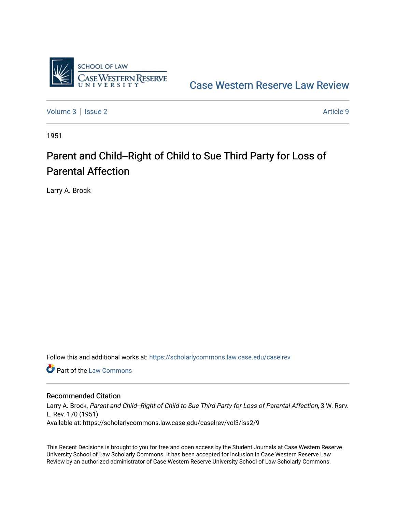

[Case Western Reserve Law Review](https://scholarlycommons.law.case.edu/caselrev) 

[Volume 3](https://scholarlycommons.law.case.edu/caselrev/vol3) | [Issue 2](https://scholarlycommons.law.case.edu/caselrev/vol3/iss2) Article 9

1951

## Parent and Child--Right of Child to Sue Third Party for Loss of Parental Affection

Larry A. Brock

Follow this and additional works at: [https://scholarlycommons.law.case.edu/caselrev](https://scholarlycommons.law.case.edu/caselrev?utm_source=scholarlycommons.law.case.edu%2Fcaselrev%2Fvol3%2Fiss2%2F9&utm_medium=PDF&utm_campaign=PDFCoverPages)

**C** Part of the [Law Commons](http://network.bepress.com/hgg/discipline/578?utm_source=scholarlycommons.law.case.edu%2Fcaselrev%2Fvol3%2Fiss2%2F9&utm_medium=PDF&utm_campaign=PDFCoverPages)

## Recommended Citation

Larry A. Brock, Parent and Child--Right of Child to Sue Third Party for Loss of Parental Affection, 3 W. Rsrv. L. Rev. 170 (1951) Available at: https://scholarlycommons.law.case.edu/caselrev/vol3/iss2/9

This Recent Decisions is brought to you for free and open access by the Student Journals at Case Western Reserve University School of Law Scholarly Commons. It has been accepted for inclusion in Case Western Reserve Law Review by an authorized administrator of Case Western Reserve University School of Law Scholarly Commons.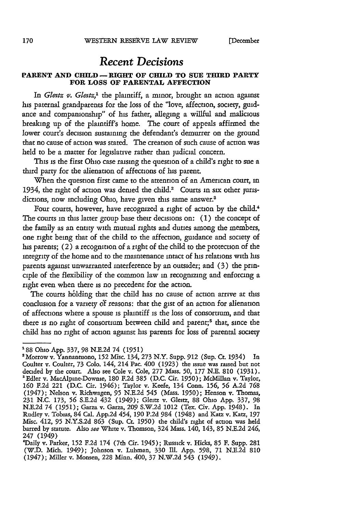## *Recent Decisions*

## **PARENT AND CHILD- RIGHT OF CHILD TO SUE THIRD PARTY FOR LOSS OF PARENTAL AFFECTION**

In *Glettz* v. *Glettz,'* the plaintiff, a minor, brought an action against his paternal grandparents for the loss of the "love, affection, society, guidance and companionship" of his father, alleging a willful and malicious breaking up of the plaintiff's home. The court of appeals affirmed the lower court's decision sustaining the defendant's demurrer on the ground that no cause of action was stated. The creation of such cause of action was held to be a matter for legislative rather than judicial concern.

This is the first Ohio case raising the question of a child's right to sue a third party for the alienation of affections of his parent.

When the question first came to the attention of an American court, in 1934, the right of action was denied the child.<sup>2</sup> Courts in six other jurisdictions, now including Ohio, have given this same answer.<sup>8</sup>

Four courts, however, have recognized a right of action by the child.<sup>4</sup> The courts in this latter group base their decisions on: (1) the concept of the family as an entity with mutual rights and duties among the members, one right being that of the child to the affection, guidance and society of his parents; (2) a recognition of a right of the child to the protection of the integrity of the home and to the maintenance intact of his relations with his parents against unwarranted interference by an outsider; and (3) the principle of the flexibility of the common law in recognizing and enforcing a right even when there is no precedent for the action.

The courts holding that the child has no cause of action arrive at this conclusion for a variety **of** reasons: that the gist of an action for alienation of affections where a spouse is plaintiff is the loss of consortium, and that there is no right of consortium between child and parent;<sup>5</sup> that, since the child has no right of action against his parents for loss of parental society

**<sup>&#</sup>x27;88** Ohio App. 337, 98 N.E.2d 74 **(1951)**

<sup>&#</sup>x27;Morrow v. Yannantuono, **152** Misc. 134, 273 N.Y. Supp. **912** (Sup. Ct. 1934) In Coulter v. Coulter, 73 Colo. 144, 214 Pac. 400 (1923) the issue was raised but not decided by the court. Also see Cole v. Cole, 277 Mass. **50, 177** N.E. **810** (1931). 'Edler v. MacAlpine-Downie, **180** F.2d **385** (D.C. Cir. 1950); McMillan v. Taylor, *160* F.2d 221 (D.C. Cit. 1946); Taylor v. Keefe, 134 Conn. **156, 56** A.2d 768 (1947); Nelson v. Richwagen, **95** N.E.2d 545 (Mass. 1950); Henson v. Thomas, **231** N.C. 173, 56 S.E.2d 432 (1949); Gleitz v. Gleitz, 88 Ohio App. 337, 98 N.E.2d 74 **(1951);** Garza v. Garza, 209 S.W.2d 1012 (Tex. Civ. App. 1948). In Rudley v. Tobias, 84 Cal. App.2d 454, 190 P.2d 984 (1948) and Katz v. Katz, **197** Misc. 412, **95** N.Y.S.2d **863** (Sup. Ct. **1950)** the child's right of action was held barred by statute. Also *see* White v. Thomson, 324 Mass. 140, 143, **85** N.E.2d 246, 247 (1949)

<sup>&#</sup>x27;Daily v. Parker, **152** F.2d 174 (7th Cir. 1945); Russick v. Hicks, **85** F. Supp. **281** (W.D. Mich. 1949); Johnson v. Luhman, 330 **111.** App. 598, **71** N.E.2d **810** (1947); Miller v. Monsen, 228 Minn. 400, 37 N.W.2d 543 (1949).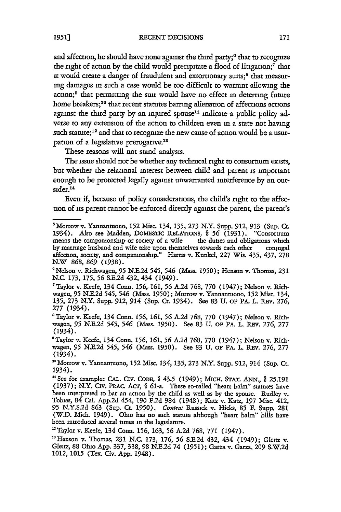and affection, he should have none against the third party;<sup>6</sup> that to recognize the right of action by the child would precipitate a flood of litigation;<sup>7</sup> that it would create a danger of fraudulent and extortionary suits;<sup>8</sup> that measuring damages in such a case would be too difficult to warrant allowing the action;<sup>9</sup> that permitting the suit would have no effect in deterring future home breakers;<sup>10</sup> that recent statutes barring alienation of affections actions against the third party by an injured spouse<sup>11</sup> indicate a public policy adverse to any extension of the action to children even in a state not having such statute;<sup>12</sup> and that to recognize the new cause of action would be a usurpation of a legislative prerogative.<sup>13</sup>

These reasons will not stand analysis.

The issue should not be whether any techmcal right to consortium exists, but whether the relational interest between child and parent is important enough to be protected legally against unwarranted interference by an outsider.<sup>14</sup>

Even if, because of policy considerations, the child's right to the affection of its parent cannot be enforced directly against the parent, the parent's

'Nelson v. Richwagen, **95** N.E.2d 545, 546 (Mass. 1950); Henson v. Thomas, 231 N.C. 173, 175, **56** S.E.2d 432, 434 (1949).

<sup>5</sup>Morrow v. Yannantuono, **152** Misc. 134, 135, 273 N.Y. Supp. 912, **913** (Sup. Ct. 1934). Also see Madden, **DomEsTic RELATIONS,** § **56** (1931). "Consortium means the compamonship or society of a wife the duties and obligations which by marriage husband and wife take upon themselves towards each other conjugal affection, society, and compamonship." Harris v. Kunkel, 227 Wis. 435, 437, 278 N.W 868, *869* (1938).

<sup>&</sup>quot;Taylor v. Keefe, 134 Conn. **156, 161, 56** A.2d 768, 770 (1947); Nelson v. Richwagen, **95** N.E.2d 545, 546 (Mass. 1950); Morrow v. Yannantuono, **152** Misc. 134, 135, 273 N.Y. Supp. 912, 914 (Sup. Ct. 1934). See 83 U. **OF** PA. L. REv. 276, 277 (1934).

<sup>8</sup> Taylor v. Keefe, 134 Conn. **156, 161, 56** A.2d 768, **770** (1947); Nelson v. Richwagen, **95** N.E.2d 545, 546 (Mass. 1950). See 83 U. **OF** PA. L. REv. 276, 277 (1934).

<sup>&#</sup>x27;Taylor v. Keefe, 134 Conn. **156,** 161, *56* A.2d 768, 770 (1947); Nelson v. Richwagen, **95** N.E.2d 545, 546 (Mass. **1950).** See 83 U. **OF** PA. L. REv. **276,** 277 (1934).

<sup>&</sup>lt;sup>10</sup> Morrow v. Yannantuono, 152 Misc. 134, 135, 273 N.Y. Supp. 912, 914 (Sup. Ct. 1934).

<sup>&#</sup>x27;See for example: **CAL.** CiV. CODE, § 43.5 (1949); **MICH. STAT.** *ANN.,* § 25.191 (1937); N.Y. Civ. PRAc. *ACT,* § <sup>6</sup> 1-a. These so-called "heart balm" statutes have been interpreted to bar an action by the child as well as by the spouse. Rudley v. Tobias, 84 Cal. App.2d 454, 190 P.2d 984 (1948); Katz v. Katz, **197** Misc. 412, 95 N.Y.S.2d **863** (Sup. Ct 1950). Contra: Russick v. Hicks, 85 F. Supp. 281 (W.D. Mich. 1949). Ohio has no such statute although "heart balm" bills have been introduced several tumes in the legislature.

<sup>&#</sup>x27;Taylor v. Keefe, 134 Conn. **156,** 163, **56** A.2d **768,** 771 (1947).

um<sub>ens</sub> v. 110010, 191 Comm. 190, 109, 90 mma 700, 771 (1947);<br><sup>13</sup> Henson v. Thomas, 231 N.C. 173, 176, 56 8 B.2d 422, 424, (1040); Gleitz v. Gleitz, 88 Ohio App. 337, 338, 98 N.E.2d 74 (1951); Garza v. Garza, **209** S.W.2d 1012, 1015 (Tex. Civ. App. 1948).